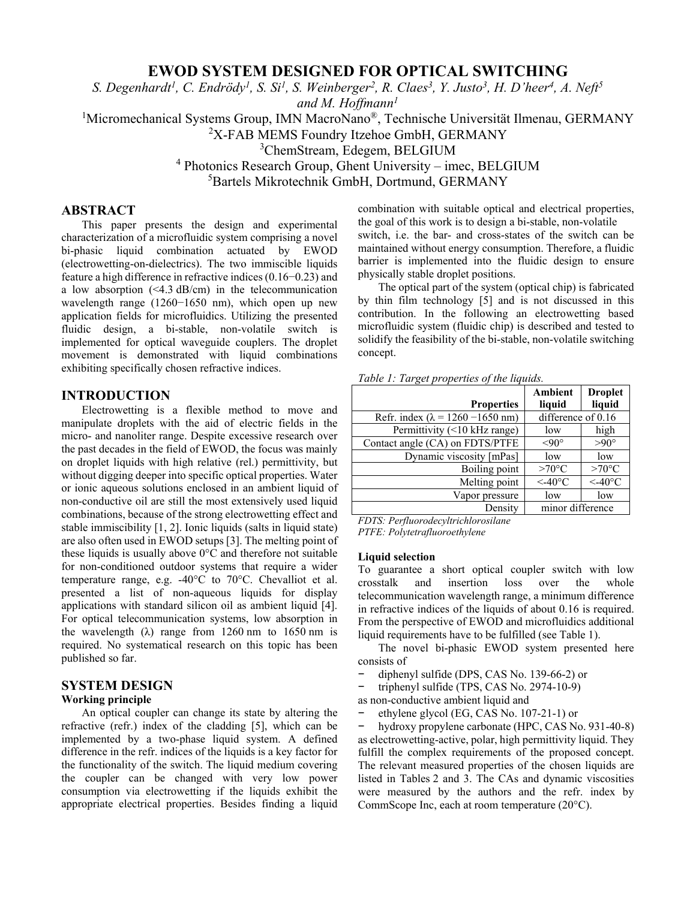# **EWOD SYSTEM DESIGNED FOR OPTICAL SWITCHING**

*S. Degenhardt1, C. Endrödy1, S. Si1, S. Weinberger2, R. Claes3, Y. Justo3, H. D'heer4, A. Neft5* 

*and M. Hoffmann1*

<sup>1</sup>Micromechanical Systems Group, IMN MacroNano®, Technische Universität Ilmenau, GERMANY

2 X-FAB MEMS Foundry Itzehoe GmbH, GERMANY

3 ChemStream, Edegem, BELGIUM

4 Photonics Research Group, Ghent University – imec, BELGIUM

5 Bartels Mikrotechnik GmbH, Dortmund, GERMANY

# **ABSTRACT**

This paper presents the design and experimental characterization of a microfluidic system comprising a novel bi-phasic liquid combination actuated by EWOD (electrowetting-on-dielectrics). The two immiscible liquids feature a high difference in refractive indices (0.16−0.23) and a low absorption (<4.3 dB/cm) in the telecommunication wavelength range (1260−1650 nm), which open up new application fields for microfluidics. Utilizing the presented fluidic design, a bi-stable, non-volatile switch is implemented for optical waveguide couplers. The droplet movement is demonstrated with liquid combinations exhibiting specifically chosen refractive indices.

### **INTRODUCTION**

Electrowetting is a flexible method to move and manipulate droplets with the aid of electric fields in the micro- and nanoliter range. Despite excessive research over the past decades in the field of EWOD, the focus was mainly on droplet liquids with high relative (rel.) permittivity, but without digging deeper into specific optical properties. Water or ionic aqueous solutions enclosed in an ambient liquid of non-conductive oil are still the most extensively used liquid combinations, because of the strong electrowetting effect and stable immiscibility [1, 2]. Ionic liquids (salts in liquid state) are also often used in EWOD setups [3]. The melting point of these liquids is usually above 0°C and therefore not suitable for non-conditioned outdoor systems that require a wider temperature range, e.g. -40°C to 70°C. Chevalliot et al. presented a list of non-aqueous liquids for display applications with standard silicon oil as ambient liquid [4]. For optical telecommunication systems, low absorption in the wavelength  $(\lambda)$  range from 1260 nm to 1650 nm is required. No systematical research on this topic has been published so far.

# **SYSTEM DESIGN**

# **Working principle**

An optical coupler can change its state by altering the refractive (refr.) index of the cladding [5], which can be implemented by a two-phase liquid system. A defined difference in the refr. indices of the liquids is a key factor for the functionality of the switch. The liquid medium covering the coupler can be changed with very low power consumption via electrowetting if the liquids exhibit the appropriate electrical properties. Besides finding a liquid

combination with suitable optical and electrical properties, the goal of this work is to design a bi-stable, non-volatile switch, i.e. the bar- and cross-states of the switch can be maintained without energy consumption. Therefore, a fluidic barrier is implemented into the fluidic design to ensure physically stable droplet positions.

The optical part of the system (optical chip) is fabricated by thin film technology [5] and is not discussed in this contribution. In the following an electrowetting based microfluidic system (fluidic chip) is described and tested to solidify the feasibility of the bi-stable, non-volatile switching concept.

| . . |                                          |                    |                          |
|-----|------------------------------------------|--------------------|--------------------------|
|     | <b>Properties</b>                        | Ambient<br>liquid  | <b>Droplet</b><br>liquid |
|     | Refr. index ( $\lambda$ = 1260 -1650 nm) | difference of 0.16 |                          |
|     | Permittivity (<10 kHz range)             | low                | high                     |
|     | Contact angle (CA) on FDTS/PTFE          | $< 90^{\circ}$     | $>90^{\circ}$            |
|     | Dynamic viscosity [mPas]                 | low                | low                      |
|     | Boiling point                            | $>70^{\circ}$ C    | $>70^{\circ}$ C          |
|     | Melting point                            | $\leq$ -40°C       | $\leq$ -40°C             |
|     | Vapor pressure                           | low                | low                      |
|     | Density                                  | minor difference   |                          |

*FDTS: Perfluorodecyltrichlorosilane PTFE: Polytetrafluoroethylene* 

#### **Liquid selection**

To guarantee a short optical coupler switch with low crosstalk and insertion loss over the whole telecommunication wavelength range, a minimum difference in refractive indices of the liquids of about 0.16 is required. From the perspective of EWOD and microfluidics additional liquid requirements have to be fulfilled (see Table 1).

The novel bi-phasic EWOD system presented here consists of

− diphenyl sulfide (DPS, CAS No. 139-66-2) or

− triphenyl sulfide (TPS, CAS No. 2974-10-9)

as non-conductive ambient liquid and

− ethylene glycol (EG, CAS No. 107-21-1) or

− hydroxy propylene carbonate (HPC, CAS No. 931-40-8) as electrowetting-active, polar, high permittivity liquid. They fulfill the complex requirements of the proposed concept. The relevant measured properties of the chosen liquids are listed in Tables 2 and 3. The CAs and dynamic viscosities were measured by the authors and the refr. index by CommScope Inc, each at room temperature (20°C).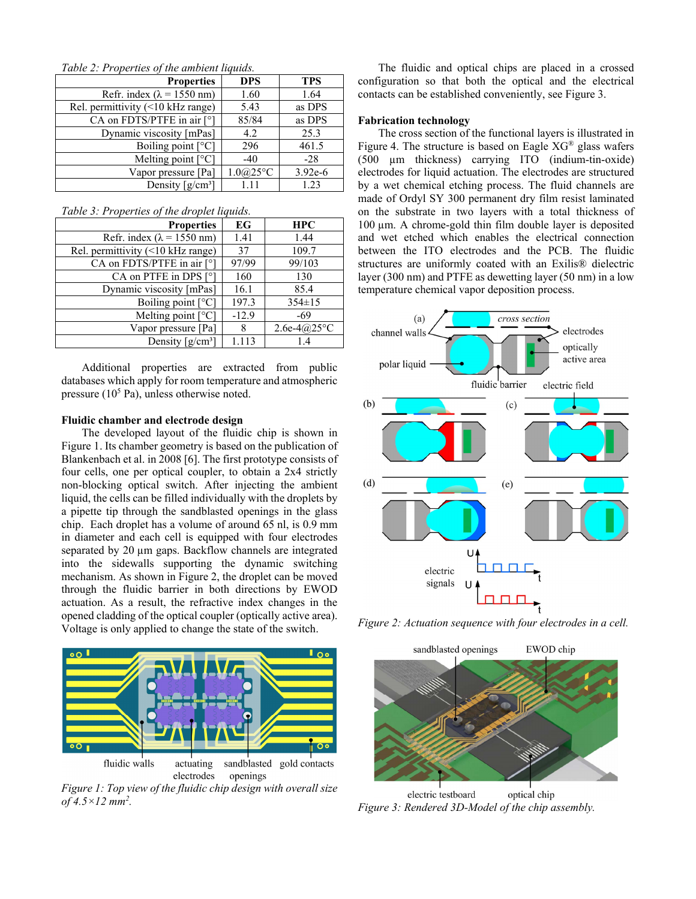| Table 2. I roperues of the ambient tiquius. |            |            |  |  |
|---------------------------------------------|------------|------------|--|--|
| <b>Properties</b>                           | <b>DPS</b> | <b>TPS</b> |  |  |
| Refr. index ( $\lambda$ = 1550 nm)          | 1.60       | 1.64       |  |  |
| Rel. permittivity $(\leq 10$ kHz range)     | 5.43       | as DPS     |  |  |
| CA on FDTS/PTFE in air [°]                  | 85/84      | as DPS     |  |  |
| Dynamic viscosity [mPas]                    | 4.2        | 25.3       |  |  |
| Boiling point $[°C]$                        | 296        | 461.5      |  |  |
| Melting point $[°C]$                        | $-40$      | $-28$      |  |  |
| Vapor pressure [Pa]                         | 1.0@25°C   | $3.92e-6$  |  |  |
| Density $\lceil g/cm^3 \rceil$              | 1.11       | 1.23       |  |  |

*Table 2: Properties of the ambient liquids.* 

| Table 3: Properties of the droplet liquids. |
|---------------------------------------------|
|---------------------------------------------|

| <b>Properties</b>                  | EG      | <b>HPC</b>    |
|------------------------------------|---------|---------------|
| Refr. index ( $\lambda$ = 1550 nm) | 1.41    | 1.44          |
| Rel. permittivity (<10 kHz range)  | 37      | 109.7         |
| CA on FDTS/PTFE in air [°]         | 97/99   | 99/103        |
| CA on PTFE in DPS [°]              | 160     | 130           |
| Dynamic viscosity [mPas]           | 16.1    | 85.4          |
| Boiling point [°C]                 | 197.3   | $354 \pm 15$  |
| Melting point $[°C]$               | $-12.9$ | $-69$         |
| Vapor pressure [Pa]                | 8       | $2.6e-4@25°C$ |
| Density $[g/cm^3]$                 | 1.113   | 14            |

Additional properties are extracted from public databases which apply for room temperature and atmospheric pressure  $(10^5 \text{ Pa})$ , unless otherwise noted.

# **Fluidic chamber and electrode design**

The developed layout of the fluidic chip is shown in Figure 1. Its chamber geometry is based on the publication of Blankenbach et al. in 2008 [6]. The first prototype consists of four cells, one per optical coupler, to obtain a 2x4 strictly non-blocking optical switch. After injecting the ambient liquid, the cells can be filled individually with the droplets by a pipette tip through the sandblasted openings in the glass chip. Each droplet has a volume of around 65 nl, is 0.9 mm in diameter and each cell is equipped with four electrodes separated by 20  $\mu$ m gaps. Backflow channels are integrated into the sidewalls supporting the dynamic switching mechanism. As shown in Figure 2, the droplet can be moved through the fluidic barrier in both directions by EWOD actuation. As a result, the refractive index changes in the opened cladding of the optical coupler (optically active area). Voltage is only applied to change the state of the switch.



electrodes openings *Figure 1: Top view of the fluidic chip design with overall size* 

*of 4.5×12 mm2 .* 

The fluidic and optical chips are placed in a crossed configuration so that both the optical and the electrical contacts can be established conveniently, see Figure 3.

#### **Fabrication technology**

The cross section of the functional layers is illustrated in Figure 4. The structure is based on Eagle  $XG^{\otimes}$  glass wafers (500 µm thickness) carrying ITO (indium-tin-oxide) electrodes for liquid actuation. The electrodes are structured by a wet chemical etching process. The fluid channels are made of Ordyl SY 300 permanent dry film resist laminated on the substrate in two layers with a total thickness of 100 µm. A chrome-gold thin film double layer is deposited and wet etched which enables the electrical connection between the ITO electrodes and the PCB. The fluidic structures are uniformly coated with an Exilis® dielectric layer (300 nm) and PTFE as dewetting layer (50 nm) in a low temperature chemical vapor deposition process.



*Figure 2: Actuation sequence with four electrodes in a cell.* 



electric testboard optical chip *Figure 3: Rendered 3D-Model of the chip assembly.*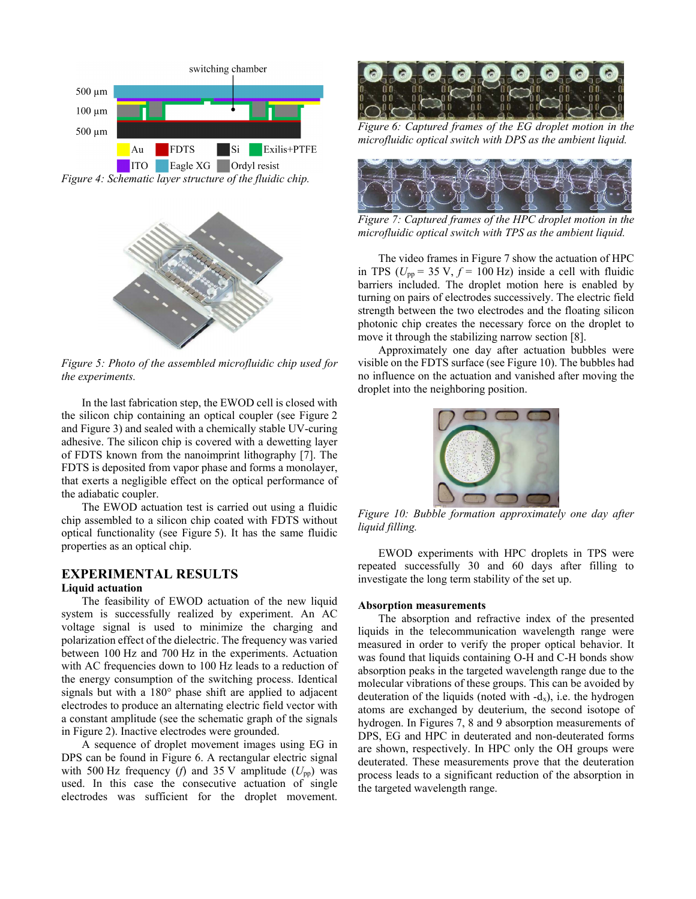

*Figure 5: Photo of the assembled microfluidic chip used for the experiments.* 

In the last fabrication step, the EWOD cell is closed with the silicon chip containing an optical coupler (see Figure 2 and Figure 3) and sealed with a chemically stable UV-curing adhesive. The silicon chip is covered with a dewetting layer of FDTS known from the nanoimprint lithography [7]. The FDTS is deposited from vapor phase and forms a monolayer, that exerts a negligible effect on the optical performance of the adiabatic coupler.

The EWOD actuation test is carried out using a fluidic chip assembled to a silicon chip coated with FDTS without optical functionality (see Figure 5). It has the same fluidic properties as an optical chip.

# **EXPERIMENTAL RESULTS**

### **Liquid actuation**

The feasibility of EWOD actuation of the new liquid system is successfully realized by experiment. An AC voltage signal is used to minimize the charging and polarization effect of the dielectric. The frequency was varied between 100 Hz and 700 Hz in the experiments. Actuation with AC frequencies down to 100 Hz leads to a reduction of the energy consumption of the switching process. Identical signals but with a 180° phase shift are applied to adjacent electrodes to produce an alternating electric field vector with a constant amplitude (see the schematic graph of the signals in Figure 2). Inactive electrodes were grounded.

A sequence of droplet movement images using EG in DPS can be found in Figure 6. A rectangular electric signal with 500 Hz frequency (*f*) and 35 V amplitude ( $U_{\text{pp}}$ ) was used. In this case the consecutive actuation of single electrodes was sufficient for the droplet movement.



*Figure 6: Captured frames of the EG droplet motion in the microfluidic optical switch with DPS as the ambient liquid.* 



*Figure 7: Captured frames of the HPC droplet motion in the microfluidic optical switch with TPS as the ambient liquid.* 

The video frames in Figure 7 show the actuation of HPC in TPS ( $U_{\text{pp}}$  = 35 V,  $f$  = 100 Hz) inside a cell with fluidic barriers included. The droplet motion here is enabled by turning on pairs of electrodes successively. The electric field strength between the two electrodes and the floating silicon photonic chip creates the necessary force on the droplet to move it through the stabilizing narrow section [8].

Approximately one day after actuation bubbles were visible on the FDTS surface (see Figure 10). The bubbles had no influence on the actuation and vanished after moving the droplet into the neighboring position.



*Figure 10: Bubble formation approximately one day after liquid filling.* 

EWOD experiments with HPC droplets in TPS were repeated successfully 30 and 60 days after filling to investigate the long term stability of the set up.

### **Absorption measurements**

The absorption and refractive index of the presented liquids in the telecommunication wavelength range were measured in order to verify the proper optical behavior. It was found that liquids containing O-H and C-H bonds show absorption peaks in the targeted wavelength range due to the molecular vibrations of these groups. This can be avoided by deuteration of the liquids (noted with  $-d_x$ ), i.e. the hydrogen atoms are exchanged by deuterium, the second isotope of hydrogen. In Figures 7, 8 and 9 absorption measurements of DPS, EG and HPC in deuterated and non-deuterated forms are shown, respectively. In HPC only the OH groups were deuterated. These measurements prove that the deuteration process leads to a significant reduction of the absorption in the targeted wavelength range.